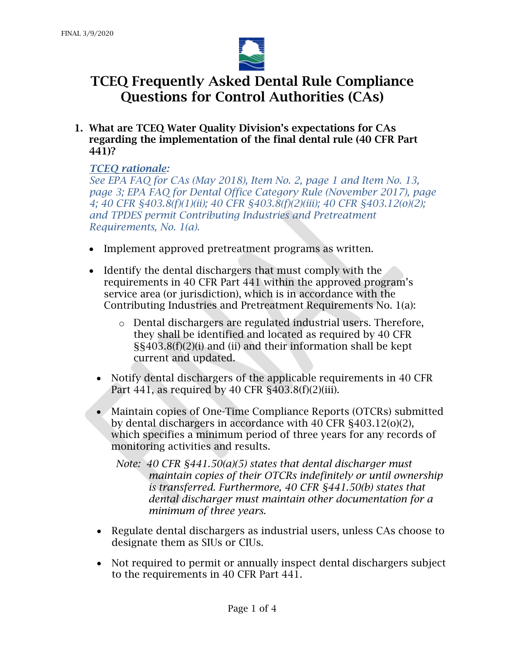

1. What are TCEQ Water Quality Division's expectations for CAs regarding the implementation of the final dental rule (40 CFR Part 441)?

## *TCEQ rationale:*

*See EPA FAQ for CAs (May 2018), Item No. 2, page 1 and Item No. 13, page 3; EPA FAQ for Dental Office Category Rule (November 2017), page 4; 40 CFR §403.8(f)(1)(ii); 40 CFR §403.8(f)(2)(iii); 40 CFR §403.12(o)(2); and TPDES permit Contributing Industries and Pretreatment Requirements, No. 1(a).* 

- Implement approved pretreatment programs as written.
- Identify the dental dischargers that must comply with the requirements in 40 CFR Part 441 within the approved program's service area (or jurisdiction), which is in accordance with the Contributing Industries and Pretreatment Requirements No. 1(a):
	- o Dental dischargers are regulated industrial users. Therefore, they shall be identified and located as required by 40 CFR §§403.8(f)(2)(i) and (ii) and their information shall be kept current and updated.
	- Notify dental dischargers of the applicable requirements in 40 CFR Part 441, as required by 40 CFR §403.8(f)(2)(iii).
	- Maintain copies of One-Time Compliance Reports (OTCRs) submitted by dental dischargers in accordance with 40 CFR §403.12(o)(2), which specifies a minimum period of three years for any records of monitoring activities and results.

*Note: 40 CFR §441.50(a)(5) states that dental discharger must maintain copies of their OTCRs indefinitely or until ownership is transferred. Furthermore, 40 CFR §441.50(b) states that dental discharger must maintain other documentation for a minimum of three years.* 

- Regulate dental dischargers as industrial users, unless CAs choose to designate them as SIUs or CIUs.
- Not required to permit or annually inspect dental dischargers subject to the requirements in 40 CFR Part 441.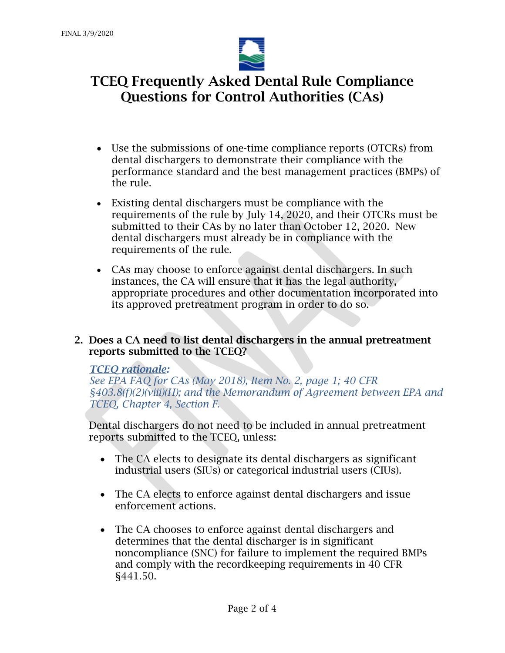

- Use the submissions of one-time compliance reports (OTCRs) from dental dischargers to demonstrate their compliance with the performance standard and the best management practices (BMPs) of the rule.
- Existing dental dischargers must be compliance with the requirements of the rule by July 14, 2020, and their OTCRs must be submitted to their CAs by no later than October 12, 2020. New dental dischargers must already be in compliance with the requirements of the rule.
- CAs may choose to enforce against dental dischargers. In such instances, the CA will ensure that it has the legal authority, appropriate procedures and other documentation incorporated into its approved pretreatment program in order to do so.
- 2. Does a CA need to list dental dischargers in the annual pretreatment reports submitted to the TCEQ?

## *TCEQ rationale:*

*See EPA FAQ for CAs (May 2018), Item No. 2, page 1; 40 CFR §403.8(f)(2)(viii)(H); and the Memorandum of Agreement between EPA and TCEQ, Chapter 4, Section F.* 

Dental dischargers do not need to be included in annual pretreatment reports submitted to the TCEQ, unless:

- The CA elects to designate its dental dischargers as significant industrial users (SIUs) or categorical industrial users (CIUs).
- The CA elects to enforce against dental dischargers and issue enforcement actions.
- The CA chooses to enforce against dental dischargers and determines that the dental discharger is in significant noncompliance (SNC) for failure to implement the required BMPs and comply with the recordkeeping requirements in 40 CFR §441.50.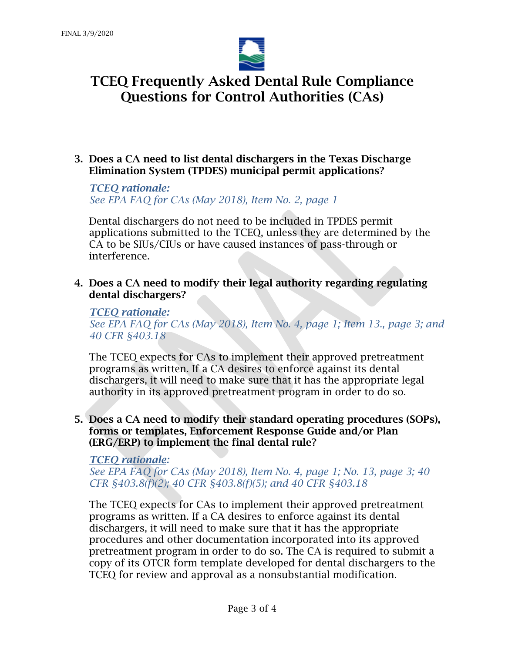

3. Does a CA need to list dental dischargers in the Texas Discharge Elimination System (TPDES) municipal permit applications?

*TCEQ rationale: See EPA FAQ for CAs (May 2018), Item No. 2, page 1*

Dental dischargers do not need to be included in TPDES permit applications submitted to the TCEQ, unless they are determined by the CA to be SIUs/CIUs or have caused instances of pass-through or interference.

4. Does a CA need to modify their legal authority regarding regulating dental dischargers?

#### *TCEQ rationale:*

*See EPA FAQ for CAs (May 2018), Item No. 4, page 1; Item 13., page 3; and 40 CFR §403.18*

The TCEQ expects for CAs to implement their approved pretreatment programs as written. If a CA desires to enforce against its dental dischargers, it will need to make sure that it has the appropriate legal authority in its approved pretreatment program in order to do so.

5. Does a CA need to modify their standard operating procedures (SOPs), forms or templates, Enforcement Response Guide and/or Plan (ERG/ERP) to implement the final dental rule?

### *TCEQ rationale:*

*See EPA FAQ for CAs (May 2018), Item No. 4, page 1; No. 13, page 3; 40 CFR §403.8(f)(2); 40 CFR §403.8(f)(5); and 40 CFR §403.18*

The TCEQ expects for CAs to implement their approved pretreatment programs as written. If a CA desires to enforce against its dental dischargers, it will need to make sure that it has the appropriate procedures and other documentation incorporated into its approved pretreatment program in order to do so. The CA is required to submit a copy of its OTCR form template developed for dental dischargers to the TCEQ for review and approval as a nonsubstantial modification.